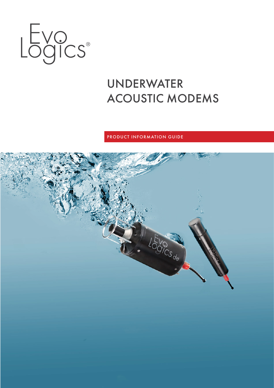

# UNDERWATER ACOUSTIC MODEMS

# PRODUCT INFORMATION GUIDE

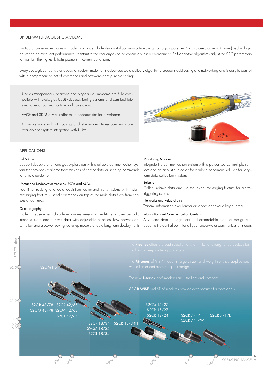#### UNDERWATER ACOUSTIC MODEMS

EvoLogics underwater acoustic modems provide full-duplex digital communication using EvoLogics' patented S2C (Sweep-Spread Carrier) Technology, delivering an excellent performance, resistant to the challenges of the dynamic subsea environment. Self-adaptive algorithms adjust the S2C parameters to maintain the highest bitrate possible in current conditions.

Every EvoLogics underwater acoustic modem implements advanced data delivery algorithms, supports addressing and networking and is easy to control with a comprehensive set of commands and software-configurable settings.

- · Use as transponders, beacons and pingers all modems are fully compatible with EvoLogics USBL/LBL positioning systems and can facilitate simultaneous communication and navigation.
- · WiSE and SDM devices offer extra opportunities for developers.
- · OEM versions without housing and streamlined transducer units are available for system integration with UUVs.



# APPLICATIONS

#### Oil & Gas

Support deepwater oil and gas exploration with a reliable communication system that provides real-time transmissions of sensor data or sending commands to remote equipment

# Unmanned Underwater Vehicles (ROVs and AUVs)

Real-time tracking and data aquisition, command transmissions with instant messaging feature - send commands on top of the main data flow from sensors or cameras

#### **Oceanography**

Collect measurement data from various sensors in real-time or over periodic intervals, store and transmit data with adjustable priorities. Low power consumption and a power saving wake-up module enable long-term deployments

#### Monitoring Stations

Integrate the communication system with a power source, multiple sensors and an acoustic releaser for a fully autonomous solution for longterm data collection missions

#### Seismic

Collect seismic data and use the instant messaging feature for alarmtriggering events

#### Networks and Relay chains

Transmit information over longer distances or cover a larger area

# Information and Communication Centers

Advanced data management and expandable modular design can become the central point for all your underwater communication needs

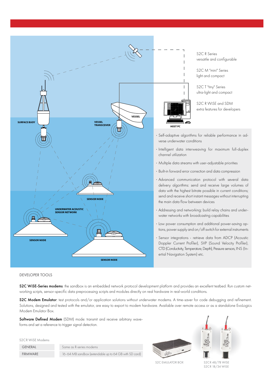

S2C R Series versatile and configurable

S2C M "mini" Series light and compact

S2C T "tiny" Series ultra-light and compact

S2C R WiSE and SDM extra features for developers

- · Self-adaptive algorithms for reliable performance in adverse underwater conditions
- · Intelligent data interweaving for maximum full-duplex
- · Multiple data streams with user-adjustable priorities
- · Built-in forward error correction and data compression
- · Advanced communication protocol with several data delivery algorithms: send and receive large volumes of data with the highest bitrate possible in current conditions; send and receive short instant messages without interrupting the main data flow between devices
- · Addressing and networking: build relay chains and underwater networks with broadcasting capabilities
- · Low power consumption and additional power-saving options, power supply and on/off switch for external instruments
- · Sensor integrations retrieve data from ADCP (Acoustic Doppler Current Profiler), SVP (Sound Velocity Profiler), CTD (Conductivity, Temperature, Depth), Pressure sensors, INS (Inertial Navigation System) etc.

DEVELOPER TOOLS

S2C WiSE-Series modems: the sandbox is an embedded network protocol development platform and provides an excellent testbed. Run custom networking scripts, sensor-specific data preprocessing scripts and modules directly on real hardware in real-world conditions.

S2C Modem Emulator: test protocols and/or application solutions without underwater modems. A time-saver for code debugging and refinement. Solutions, designed and tested with the emulator, are easy to export to modem hardware. Available over remote access or as a standalone EvoLogics Modem Emulator Box.

Software Defined Modem (SDM) mode: transmit and receive arbitrary waveforms and set a reference to trigger signal detection.

S<sub>2</sub>C<sub>R</sub> WiSE Modems

GENERAL Same as R-series modems

FIRMWARE 16-64 MB sandbox (extendable up to 64 GB with SD card)





S2C EMULATOR BOX

S2C R 48/78 WISE S2C R 18/34 WISE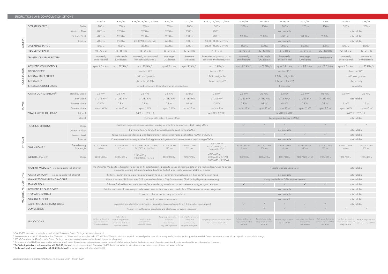| SPECIFICATIONS AND CONFIGURATION OPTIONS                               |                                                           |                                                                                                                                                                                                                                                                    |                                                                                                           |                                                                                                 |                                                         |                                                         |                                                                                                                    |                                                                         |                                                          |                                                          |                                         |                                                              |                                                                |                                                                  |                                                  |  |
|------------------------------------------------------------------------|-----------------------------------------------------------|--------------------------------------------------------------------------------------------------------------------------------------------------------------------------------------------------------------------------------------------------------------------|-----------------------------------------------------------------------------------------------------------|-------------------------------------------------------------------------------------------------|---------------------------------------------------------|---------------------------------------------------------|--------------------------------------------------------------------------------------------------------------------|-------------------------------------------------------------------------|----------------------------------------------------------|----------------------------------------------------------|-----------------------------------------|--------------------------------------------------------------|----------------------------------------------------------------|------------------------------------------------------------------|--------------------------------------------------|--|
|                                                                        |                                                           |                                                                                                                                                                                                                                                                    | R 48/78                                                                                                   | R 42/65                                                                                         | R 18/34, 18/34 D, 18/34H                                | R 15/27                                                 | R 12/24                                                                                                            | R 7/17, 7/17D, 7/17W                                                    | M 48/78                                                  | M 42/65                                                  | M 18/34                                 | M 15/27                                                      | M HS                                                           | T42/65                                                           | T 18/34                                          |  |
| GENERAL<br>$\overline{\circ}$<br>$\overline{6}$                        | <b>OPERATING DEPTH</b>                                    | Delrin                                                                                                                                                                                                                                                             | 200 m                                                                                                     | 200 m                                                                                           | 200 m                                                   | 200 m                                                   | 200 m                                                                                                              | 200 m                                                                   | 200 m                                                    | 200 m                                                    | 200 m                                   | 200 m                                                        | 200 m                                                          | 200 m                                                            | 200 m                                            |  |
|                                                                        | Aluminium Allov                                           |                                                                                                                                                                                                                                                                    | 2000 m                                                                                                    | 2000 m                                                                                          | 2000 m                                                  | 2000 m                                                  | 2000 m                                                                                                             | 2000 m                                                                  |                                                          |                                                          | not available                           |                                                              |                                                                | not available                                                    |                                                  |  |
|                                                                        |                                                           | Stainless Steel                                                                                                                                                                                                                                                    | 2000 m                                                                                                    | 2000 m                                                                                          | 2000 m                                                  | 2000 m                                                  | 2000 m                                                                                                             | 2000 m                                                                  | 2000 m                                                   | 2000 m                                                   | 2000 m                                  | 2000 m                                                       | 2000 m                                                         | not available                                                    |                                                  |  |
|                                                                        | Titanium                                                  |                                                                                                                                                                                                                                                                    | 2000 m                                                                                                    | 2000 m                                                                                          | 2000/6000 m (18/34D)                                    | 6000 m                                                  | 6000 m                                                                                                             | 6000/10000 m (7/17D)                                                    |                                                          |                                                          | not available                           |                                                              |                                                                |                                                                  | not available                                    |  |
|                                                                        | <b>OPERATING RANGE</b>                                    |                                                                                                                                                                                                                                                                    | 1000 m                                                                                                    | 1000 m                                                                                          | 3500 m                                                  | 6000 m                                                  | 6000 m                                                                                                             | 8000/10000 m (7/17D)                                                    | 1000 m                                                   | 1000 m                                                   | 3500 m                                  | 6000 m                                                       | 300 m                                                          | 1000 m                                                           | 3500 m                                           |  |
|                                                                        | <b>FREQUENCY BAND</b>                                     |                                                                                                                                                                                                                                                                    | 48 - 78 kHz                                                                                               | 42 - 65 kHz                                                                                     | 18 - 34 kHz                                             | 15 - 27 kHz                                             | 13 - 24 kHz                                                                                                        | 7 - 17 kHz                                                              | 48 - 78 kHz                                              | 42 - 65 kHz                                              | 18 - 34 kHz                             | 15 - 27 kHz                                                  | 120 - 180 kHz                                                  | 42 - 65 kHz                                                      | 18 - 34 kHz                                      |  |
|                                                                        | <b>TRANSDUCER BEAM PATTERN</b>                            |                                                                                                                                                                                                                                                                    | horizontally<br>omnidirectional                                                                           | wide-angle<br>100 degrees                                                                       | horizontally omnidirectional<br>hemispherical (18/34H)  | wide-angle<br>120 degrees                               | directional<br>70 degrees                                                                                          | hemispherical (7/17 and 7/17W)<br>directional 80 degrees (7/17D)        | horizontally<br>omnidirectional                          | wide-angle<br>100 degrees                                | horizontally<br>omnidirectional         | wide-angle<br>120 degrees                                    | omnidirectional                                                | horizontally<br>omnidirectional                                  | horizontally<br>omnidirectional                  |  |
|                                                                        | <b>ACOUSTIC CONNECTION</b>                                |                                                                                                                                                                                                                                                                    | up to 31.2 kbit/s                                                                                         | up to 31.2 kbit/s                                                                               | up to 13.9 kbit/s                                       | up to 9.2 kbit/s                                        | up to 9.2 kbit/s                                                                                                   | up to 6.9 $kbit/s$                                                      | up to 31.2 kbit/s                                        | up to 31.2 kbit/s                                        | up to 13.9 kbit/s                       | up to 9.2 $\frac{\text{kbit}}{\text{s}}$                     | up to $62.5$ kbit/s                                            | up to 31.2 kbit/s                                                | up to 13.9 kbit/s                                |  |
|                                                                        | <b>BIT ERROR RATE</b>                                     | less than 10-10                                                                                                                                                                                                                                                    |                                                                                                           |                                                                                                 |                                                         |                                                         | less than 10-10                                                                                                    | less than 10 <sup>-10</sup>                                             |                                                          |                                                          |                                         | less than 10-10                                              |                                                                |                                                                  |                                                  |  |
|                                                                        | <b>INTERNAL DATA BUFFER</b>                               | 1 MB, configurable<br>1 MB, configurable                                                                                                                                                                                                                           |                                                                                                           |                                                                                                 |                                                         |                                                         |                                                                                                                    | 1 MB, configurable                                                      |                                                          |                                                          |                                         |                                                              | 1 MB, configurable                                             |                                                                  |                                                  |  |
|                                                                        | INTERFACE <sup>1)</sup>                                   | Ethernet or RS-232                                                                                                                                                                                                                                                 |                                                                                                           |                                                                                                 |                                                         |                                                         | Ethernet or RS-232                                                                                                 | Ethernet or RS-232                                                      |                                                          |                                                          |                                         | Ethernet only                                                |                                                                |                                                                  |                                                  |  |
|                                                                        | <b>INTERFACE CONNECTORS</b>                               |                                                                                                                                                                                                                                                                    | up to 4 connectors, Ethernet and serial combinations                                                      |                                                                                                 |                                                         |                                                         |                                                                                                                    |                                                                         | 1 connector                                              |                                                          |                                         |                                                              |                                                                | 1 connector                                                      |                                                  |  |
| <b>POWER</b><br>PHYSICAL<br>OPTIONS<br>$\mathrel{\triangle}$<br>MODULE |                                                           |                                                                                                                                                                                                                                                                    |                                                                                                           |                                                                                                 |                                                         |                                                         |                                                                                                                    |                                                                         |                                                          |                                                          |                                         |                                                              |                                                                |                                                                  |                                                  |  |
|                                                                        | POWER CONSUMPTION <sup>2)</sup>                           | Stand-by Mode                                                                                                                                                                                                                                                      | $2.5$ mW                                                                                                  | $2.5$ mVV                                                                                       | 2.5 mW                                                  | $2.5$ mVV                                               | $2.5$ mW                                                                                                           | 2.5 mW                                                                  | $2.5$ mW                                                 | 2.5 mW                                                   | $2.5$ mW                                | $2.5$ mW                                                     | $0.5$ mW                                                       | $2.5$ mW                                                         | $2.5$ mW                                         |  |
|                                                                        |                                                           | Listen Mode                                                                                                                                                                                                                                                        | 5 - 285 mW                                                                                                | 5 - 285 mW                                                                                      | 5 - 285 mW                                              | 5 - 285 mW                                              | 5 - 285 mW                                                                                                         | 5 - 285 mW                                                              | 5 - 285 mW                                               | 5 - 285 mW                                               | 5 - 285 mW                              | 5 - 285 mW                                                   | 5 - 285 mW                                                     | not available                                                    |                                                  |  |
|                                                                        |                                                           | Receive Mode                                                                                                                                                                                                                                                       | 0.8 W                                                                                                     | 0.8 W                                                                                           | 0.8 W                                                   | 0.8 W                                                   | 0.8 W                                                                                                              | 0.8 W                                                                   | 0.8 W                                                    | 0.8 W                                                    | 0.8 W                                   | 0.8 W                                                        | 0.8 W                                                          | 1.3 W                                                            | 1.3 W                                            |  |
|                                                                        |                                                           | Transmit Mode                                                                                                                                                                                                                                                      | up to 60 W                                                                                                | up to 40 W                                                                                      | up to 65 W                                              | up to 65 W                                              | up to 57 W                                                                                                         | up to 45 W                                                              | up to 55 W                                               | up to 35 W                                               | up to 55 W                              | up to 65 W                                                   | up to 8.5 W                                                    | up to 60 W                                                       | up to 65 W                                       |  |
|                                                                        | POWER SUPPLY OPTIONS <sup>3)</sup>                        | External                                                                                                                                                                                                                                                           | 24 VDC (12 VDC)<br>24 VDC (12 VDC)                                                                        |                                                                                                 |                                                         |                                                         |                                                                                                                    |                                                                         | 24 VDC (12 VDC)                                          |                                                          |                                         |                                                              |                                                                | 24 VDC (12 VDC)<br>not available                                 |                                                  |  |
|                                                                        |                                                           | Internal                                                                                                                                                                                                                                                           | Rechargeable battery 5 Ah or 10 Ah                                                                        |                                                                                                 |                                                         |                                                         |                                                                                                                    |                                                                         | Rechargeable battery 3.350 Ah                            |                                                          |                                         |                                                              |                                                                |                                                                  |                                                  |  |
|                                                                        | <b>HOUSING OPTIONS</b>                                    | Delrin                                                                                                                                                                                                                                                             | Plastic non-magnetic corrosion-resistant housing for short-term deployments, depth rating 200 m           |                                                                                                 |                                                         |                                                         |                                                                                                                    |                                                                         |                                                          |                                                          |                                         |                                                              |                                                                |                                                                  | $\checkmark$                                     |  |
|                                                                        |                                                           | Aluminium Alloy                                                                                                                                                                                                                                                    | Light metal housing for short-term deployments, depth rating 2000 m                                       |                                                                                                 |                                                         |                                                         |                                                                                                                    |                                                                         | not available                                            |                                                          |                                         |                                                              |                                                                |                                                                  | not available                                    |  |
|                                                                        |                                                           | Robust metal, suitable for long-term deployments in harsh environments, depth rating 1000 m or 2000 m                                                                                                                                                              |                                                                                                           |                                                                                                 |                                                         |                                                         |                                                                                                                    |                                                                         |                                                          |                                                          |                                         | not available                                                |                                                                |                                                                  |                                                  |  |
|                                                                        |                                                           | Titanium                                                                                                                                                                                                                                                           | Corrosion resistant housing, suitable for long-term deployment in harsh environments, depth rating 6000 m |                                                                                                 |                                                         |                                                         |                                                                                                                    |                                                                         | not available                                            |                                                          |                                         |                                                              |                                                                | not available                                                    |                                                  |  |
|                                                                        | <b>DIMENSIONS4</b>                                        | Delrin housing<br>Total length                                                                                                                                                                                                                                     | Ø 110 x 178 mm<br>265 mm                                                                                  | $\varnothing$ 110 x 178 mm<br>265 mm                                                            | Ø 110 x 178/218 mm (18/34H)<br>265/300 mm (18/34H)      | $\varnothing$ 110 x 178 mm<br>295 mm                    | $\varnothing$ 110 x 178 mm<br>322 mm                                                                               | $\varnothing$ 110 x 178 mm<br>322 / 338 mm (7/17D)<br>246 mm (7/17W)    | Ø 63 x 235 mm<br>$310$ mm                                | Ø 63 x 235 mm<br>300 mm                                  | $\varnothing$ 63 x 235 mm<br>$310$ mm   | Ø 63 x 235 mm<br>350 mm                                      | $\varnothing$ 63 x 235 mm<br>$310$ mm                          | $\varnothing$ 63 x 170 mm<br>240 mm                              | Ø 63 x 170 mm<br>250 mm                          |  |
|                                                                        | WEIGHT, dry/wet                                           | Delrin                                                                                                                                                                                                                                                             | 2250/400 g                                                                                                | 2300/300 g                                                                                      | 2245/400 g<br>3100/1200 g (18/34H)                      | 3850/1080 g                                             | 2990/490 g                                                                                                         | 4700/600 g<br>6200/600 g (7/17D)<br>3000/490 g (7/17W)                  | 1120/330 g                                               | 1210/420 g                                               | 1265/480 g                              | 2360/1570 g TBC                                              | 1200/300 g                                                     | 1150/350 g                                                       | 1200/400 g                                       |  |
|                                                                        | WAKE-UP MODULE <sup>5)</sup> not compatible with Ethernet | The Wake Up Module turns the rest of the device on if it detects incoming acoustic signals or incoming data on one host interface. Once the device<br>completes receiving or transmitting data, it switches itself off. 2-connector version available for R-series |                                                                                                           |                                                                                                 |                                                         |                                                         |                                                                                                                    | $\checkmark$ single-interface version only                              |                                                          |                                                          |                                         |                                                              | not available                                                  |                                                                  |                                                  |  |
|                                                                        | POWER SWITCH <sup>6)</sup> not compatible with Ethernet   | The Power Switch allows to provide power supply to up to 4 external instruments and turn them on/off on command                                                                                                                                                    |                                                                                                           |                                                                                                 |                                                         |                                                         |                                                                                                                    | not available                                                           |                                                          |                                                          |                                         |                                                              | not available                                                  |                                                                  |                                                  |  |
|                                                                        | ADVANCED TIMEKEEPING MODULE                               | Allows to accept 1 PPS input from GPS, optionally includes a Chip Scale Atomic Clock for highly precise timekeeping                                                                                                                                                |                                                                                                           |                                                                                                 |                                                         |                                                         |                                                                                                                    | √ only available for OEM modem versions                                 |                                                          |                                                          |                                         |                                                              | not available                                                  |                                                                  |                                                  |  |
|                                                                        | <b>SDM VERSION</b>                                        | Software Defined Modem mode: transmit/receive arbitrary waveforms and set a reference to trigger signal detection                                                                                                                                                  |                                                                                                           |                                                                                                 |                                                         |                                                         |                                                                                                                    |                                                                         |                                                          |                                                          |                                         | not available                                                |                                                                |                                                                  |                                                  |  |
|                                                                        | <b>ACOUSTIC RELEASE DEVICE</b>                            | Reliable mechanism for recovery of underwater assets to the surface. Also available in OEM version for system integration                                                                                                                                          |                                                                                                           |                                                                                                 |                                                         |                                                         |                                                                                                                    | not available                                                           |                                                          |                                                          |                                         |                                                              | not available                                                  |                                                                  |                                                  |  |
|                                                                        | <b>FLOATATION COLLAR</b>                                  |                                                                                                                                                                                                                                                                    | Floatation collar for fast recovery to the surface                                                        |                                                                                                 |                                                         |                                                         |                                                                                                                    |                                                                         |                                                          | not available                                            |                                         |                                                              |                                                                |                                                                  | not available                                    |  |
|                                                                        | PRESSURE SENSOR                                           | Accurate pressure measurements                                                                                                                                                                                                                                     |                                                                                                           |                                                                                                 |                                                         |                                                         |                                                                                                                    | not available                                                           |                                                          |                                                          |                                         |                                                              | not available                                                  |                                                                  |                                                  |  |
|                                                                        | CABLE-MOUNTED TRANSDUCER                                  | Separated transducer for easier system integration. Standard cable length 1.5 m, other upon request                                                                                                                                                                |                                                                                                           |                                                                                                 |                                                         |                                                         |                                                                                                                    |                                                                         |                                                          |                                                          |                                         |                                                              | not available                                                  |                                                                  |                                                  |  |
|                                                                        | <b>OEM VERSION</b>                                        | Version without housing: transducer and electronics for system integration                                                                                                                                                                                         |                                                                                                           |                                                                                                 |                                                         |                                                         |                                                                                                                    |                                                                         |                                                          |                                                          |                                         |                                                              |                                                                |                                                                  |                                                  |  |
|                                                                        | <b>APPLICATIONS</b>                                       |                                                                                                                                                                                                                                                                    | Fast short and medium<br>range transmissions in<br>horizontal channels                                    | Fast short and<br>medium range transmis-<br>sions in vertical, slant and<br>horizontal channels | Medium range<br>transmissions in<br>horizontal channels | vertical and<br>slant channels,<br>long-term deployment | Long range transmissions in Long range transmissions in<br>vertical and<br>slant channels,<br>long-term deployment | Long range transmissions in vertical and<br>slant channels, depth-rated | Fast short and medium<br>range communication<br>for UUVs | Fast short and medium<br>range communication<br>for UUVs | Medium range communi<br>cation for UUVs | ing range transmissions<br>in vertical and<br>slant channels | High-speed short range<br>communication for UUVs<br>and divers | Fast short and medium<br>range communication for<br>compact UUVs | Medium range communi-<br>cation for compact UUVs |  |

<sup>1)</sup> One RS-232 Interface can be replaced with a RS-422 interface. Contact EvoLogics for more information!

<sup>2)</sup> Power consumption for RS-232 interface. Add 500 mW if an Ethernet interface is installed. Add 300 mW if the Wake-Up Module is installed. User-configurable Listen Mode is only available with a Wake-Up module installed.

<sup>3)</sup> 300 VDC available for 42/65 models. Contact EvoLogics for more information on external and internal power supply options!

4) Dimensions of a build in Delrin housing, other builds are slightly larger. Dimensions vary depending on housing type and installed options. Contact EvoLogics for more information on device dimensions and weights, reques

 $^{\rm 5)}$  **The Wake Up Module is only compatible with RS-232 interface!** It is not compatible with Ethernet or RS-422. 2-interface Wake Up Module version reacts to incoming data on two serial interfaces.

 $^{\circ)}$  The Power Switch is only compatible with RS-232 interface! It is not compatible with Ethernet or RS-422.